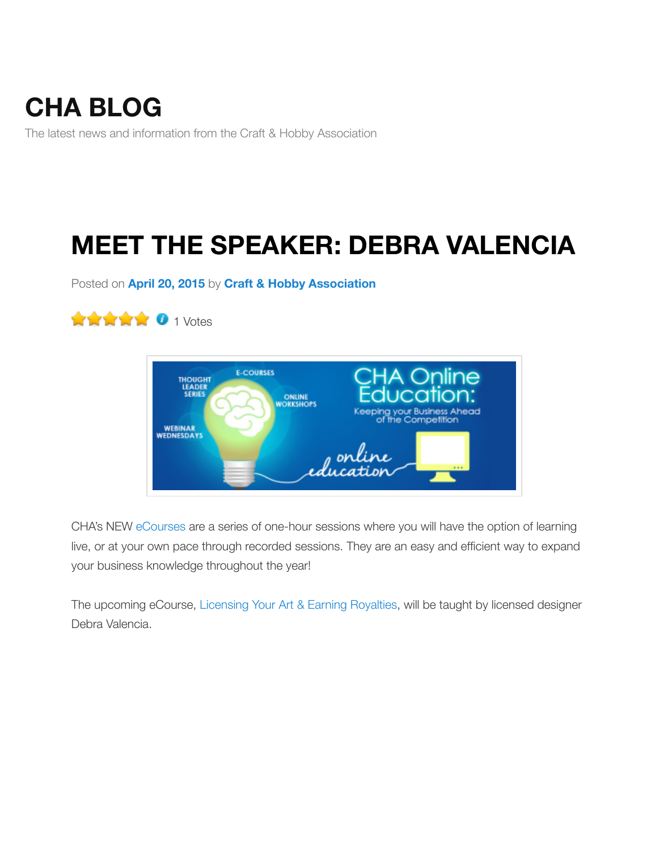The latest news and information from the Craft & Hobby Association

# **[MEET T](https://craftandhobby.wordpress.com/)HE SPEAKER: DEBRA VALENCIA**

Posted on **April 20, 2015** by **Craft & Hobby Association**





CHA's NEW eCourses are a series of one-hour sessions where you will have the option of learning live, or at your own pace through recorded sessions. They are an easy and efficient way to expa your business knowledge throughout the year!

The upcoming eCourse, Licensing Your Art & Earning Royalties, will be taught by licensed design Debra Valencia.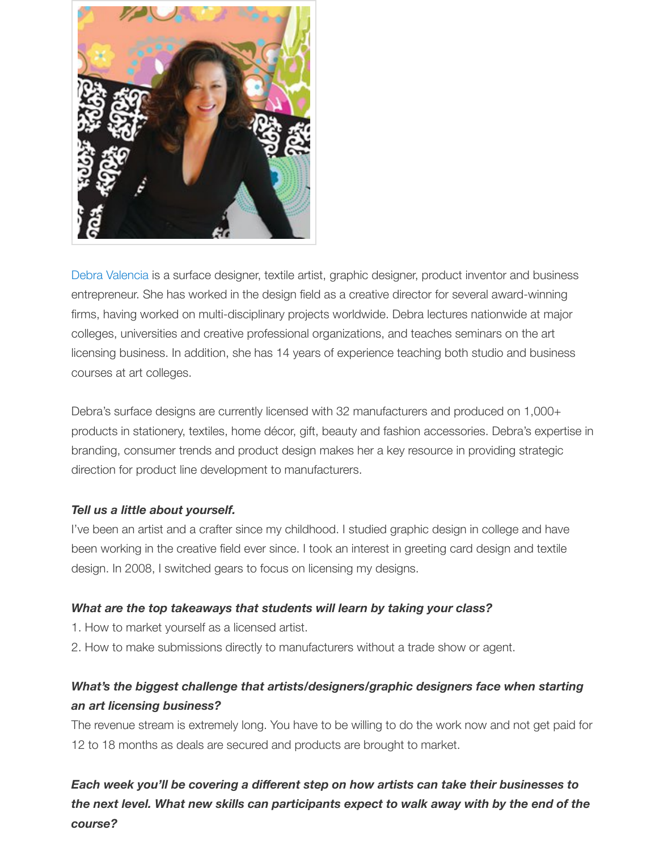

Debra Valencia is a surface designer, textile artist, graphic designer, product inventor and busine entrepreneur. She has worked in the design field as a creative director for several award-winning firms, having worked on multi-disciplinary projects worldwide. Debra lectures nationwide at major colleges, universities and creative professional organizations, and teaches seminars on the art licensing business. In addition, she has 14 years of experience teaching both studio and busines courses at art colleges.

Debra's surface designs are currently licensed with 32 manufacturers and produced on 1,000+ products in stationery, textiles, home décor, gift, beauty and fashion accessories. Debra's expert branding, consumer trends and product design makes her a key resource in providing strategic direction for product line development to manufacturers.

#### *Tell us a little about yourself.*

I've been an artist and a crafter since my childhood. I studied graphic design in college and have been working in the creative field ever since. I took an interest in greeting card design and textile design. In 2008, I switched gears to focus on licensing my designs.

#### *What are the top takeaways that students will learn by taking your class?*

- 1. How to market yourself as a licensed artist.
- 2. How to make submissions directly to manufacturers without a trade show or agent.

### *What's the biggest challenge that artists/designers/graphic designers face when starting an art licensing business?*

The revenue stream is extremely long. You have to be willing to do the work now and not get paid 12 to 18 months as deals are secured and products are brought to market.

*Each week you'll be covering a different step on how artists can take their businesses the next level. What new skills can participants expect to walk away with by the end of the course?*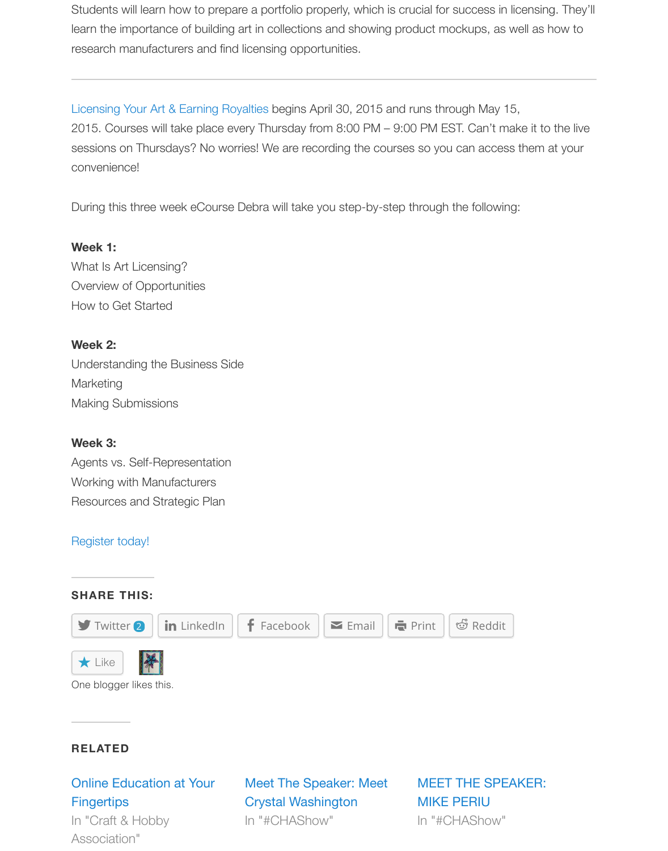2015. Courses will take place every Thursday from 8:00 PM – 9:00 PM EST. Can't make it to the sessions on Thursdays? No worries! We are recording the courses so you can access them at y convenience!

During this three week eCourse Debra will take you step-by-step through the following:

#### **Week 1:**

What Is Art Licensing? Overview of Opportunities How to Get Started

#### **Week 2:**

Understanding the Business Side **Marketing** Making Submissions

#### **Week 3:**

Agents vs. Self-Representation Working with Manufacturers Resources and Strategic Plan

#### Register today!

# **SHARE THIS:**  $\blacktriangleright$  Twitter **2**  $\parallel$  in LinkedIn  $\parallel$  **f** Facebook  $\parallel \blacktriangleright$  Email  $\parallel \blacktriangleright$  Print  $\parallel \triangleleft$  Reddit  $\bigstar$  Like

One blogger likes this.

#### **[RELATED](https://craftandhobby.wordpress.com/2015/04/20/meet-the-speaker-debra-valencia/?share=twitter&nb=1&nb=1)**

## [Online Ed](https://widgets.wp.com/likes/#)u[catio](http://en.gravatar.com/annjsd)n at Your **Fingertips**

In "Craft & Hobby Association"

Meet The Speaker: Meet Crystal Washington In "#CHAShow" In "#CHAShow"

## MEET THE SPEAKER: MIKE PERIU